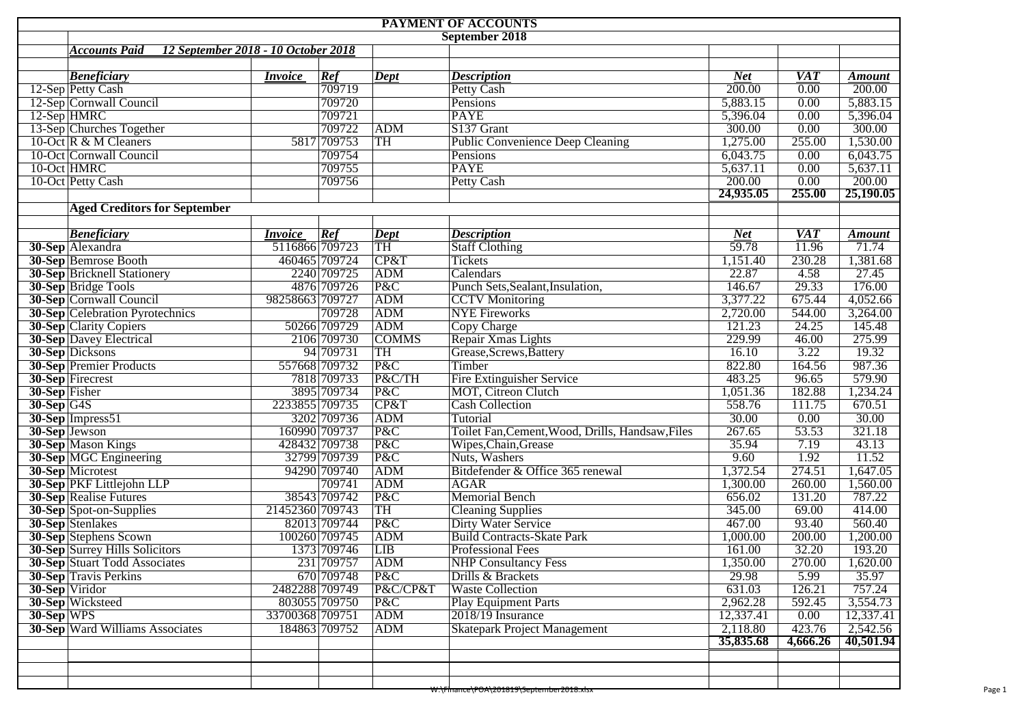|               | PAYMENT OF ACCOUNTS                                         |                 |                         |              |                                                  |                    |                  |               |  |  |  |  |
|---------------|-------------------------------------------------------------|-----------------|-------------------------|--------------|--------------------------------------------------|--------------------|------------------|---------------|--|--|--|--|
|               | September 2018                                              |                 |                         |              |                                                  |                    |                  |               |  |  |  |  |
|               | <b>Accounts Paid</b><br>12 September 2018 - 10 October 2018 |                 |                         |              |                                                  |                    |                  |               |  |  |  |  |
|               |                                                             |                 |                         |              |                                                  |                    |                  |               |  |  |  |  |
|               | <b>Beneficiary</b>                                          | <i>Invoice</i>  | Ref                     | <b>Dept</b>  | <b>Description</b>                               | <b>Net</b>         | <b>VAT</b>       | <b>Amount</b> |  |  |  |  |
|               | 12-Sep Petty Cash                                           |                 | 709719                  |              | Petty Cash                                       | 200.00             | 0.00             | 200.00        |  |  |  |  |
|               | 12-Sep Cornwall Council                                     |                 | 709720                  |              | Pensions                                         | 5,883.15           | 0.00             | 5,883.15      |  |  |  |  |
|               | 12-Sep HMRC                                                 |                 | 709721                  |              | <b>PAYE</b>                                      | 5,396.04           | 0.00             | 5,396.04      |  |  |  |  |
|               | 13-Sep Churches Together                                    |                 | 709722                  | ADM          | S137 Grant                                       | 300.00             | 0.00             | 300.00        |  |  |  |  |
|               | 10-Oct R & M Cleaners                                       |                 | 5817 709753             | TH           | <b>Public Convenience Deep Cleaning</b>          | 1,275.00           | 255.00           | 1,530.00      |  |  |  |  |
|               | 10-Oct Cornwall Council                                     |                 | 709754                  |              | Pensions                                         | 6,043.75           | 0.00             | 6,043.75      |  |  |  |  |
|               | 10-Oct HMRC                                                 |                 | 709755                  |              | <b>PAYE</b><br>5,637.11<br>0.00<br>5,637.11      |                    |                  |               |  |  |  |  |
|               | 10-Oct Petty Cash                                           |                 | 709756                  |              | <b>Petty Cash</b>                                | 200.00             | 0.00             | 200.00        |  |  |  |  |
|               |                                                             |                 |                         |              |                                                  | 24,935.05          | 255.00           | 25,190.05     |  |  |  |  |
|               | <b>Aged Creditors for September</b>                         |                 |                         |              |                                                  |                    |                  |               |  |  |  |  |
|               |                                                             |                 |                         |              |                                                  |                    |                  |               |  |  |  |  |
|               | <b>Beneficiary</b>                                          | <i>Invoice</i>  | $\overline{\text{Ref}}$ | $\vert$ Dept | <b>Description</b>                               | Net                | $\overline{VAT}$ | <b>Amount</b> |  |  |  |  |
|               | 30-Sep Alexandra                                            | 5116866 709723  |                         | TH           | <b>Staff Clothing</b>                            | $\overline{59.78}$ | 11.96            | 71.74         |  |  |  |  |
|               | 30-Sep Bemrose Booth                                        |                 | 460465 709724           | CP&T         | <b>Tickets</b>                                   | 1,151.40           | 230.28           | 1,381.68      |  |  |  |  |
|               | <b>30-Sep Bricknell Stationery</b>                          |                 | 2240 709725             | ADM          | Calendars                                        | 22.87              | 4.58             | 27.45         |  |  |  |  |
|               | <b>30-Sep</b> Bridge Tools                                  |                 | 4876 709726             | P&C          | Punch Sets, Sealant, Insulation,                 | 146.67             | 29.33            | 176.00        |  |  |  |  |
|               | <b>30-Sep Cornwall Council</b>                              | 98258663 709727 |                         | ADM          | <b>CCTV</b> Monitoring                           | 3,377.22           | 675.44           | 4,052.66      |  |  |  |  |
|               | <b>30-Sep Celebration Pyrotechnics</b>                      |                 | 709728                  | ADM          | <b>NYE Fireworks</b>                             | 2,720.00           | 544.00           | 3,264.00      |  |  |  |  |
|               | <b>30-Sep Clarity Copiers</b>                               |                 | 50266 709729            | ADM          | Copy Charge                                      | 121.23             | 24.25            | 145.48        |  |  |  |  |
|               | <b>30-Sep Davey Electrical</b>                              |                 | 2106 709730             | <b>COMMS</b> | Repair Xmas Lights                               | 229.99             | 46.00            | 275.99        |  |  |  |  |
|               | 30-Sep Dicksons                                             |                 | 94 709731               | TH           | Grease, Screws, Battery                          | 16.10              | 3.22             | 19.32         |  |  |  |  |
|               | <b>30-Sep Premier Products</b>                              |                 | 557668 709732           | P&C          | Timber                                           | 822.80             | 164.56           | 987.36        |  |  |  |  |
|               | 30-Sep Firecrest                                            |                 | 7818 709733             | P&C/TH       | <b>Fire Extinguisher Service</b>                 | 483.25             | 96.65            | 579.90        |  |  |  |  |
| 30-Sep Fisher |                                                             |                 | 3895 709734             | P&C          | MOT, Citreon Clutch                              |                    | 182.88           | 1,234.24      |  |  |  |  |
|               |                                                             | 2233855 709735  |                         | CP&T         | <b>Cash Collection</b>                           | 1,051.36<br>558.76 | 111.75           | 670.51        |  |  |  |  |
| $30-Sep$ G4S  |                                                             |                 |                         | ADM          | 30.00<br><b>Tutorial</b>                         |                    | 0.00             | 30.00         |  |  |  |  |
|               | $30$ -Sep Impress51                                         |                 | 3202 709736             | P&C          |                                                  | 267.65             | 53.53            | 321.18        |  |  |  |  |
|               | 30-Sep Jewson                                               |                 | 160990 709737           |              | Toilet Fan, Cement, Wood, Drills, Handsaw, Files |                    |                  |               |  |  |  |  |
|               | <b>30-Sep Mason Kings</b>                                   |                 | 428432 709738           | P&C          | Wipes, Chain, Grease                             | 35.94              | 7.19             | 43.13         |  |  |  |  |
|               | <b>30-Sep MGC Engineering</b>                               |                 | 32799 709739            | P&C          | Nuts, Washers                                    | 9.60               | 1.92             | 11.52         |  |  |  |  |
|               | 30-Sep Microtest                                            |                 | 94290 709740            | ADM          | Bitdefender & Office 365 renewal                 | 1,372.54           | 274.51           | 1,647.05      |  |  |  |  |
|               | 30-Sep PKF Littlejohn LLP                                   |                 | 709741                  | ADM          | <b>AGAR</b>                                      | 1,300.00           | 260.00           | 1,560.00      |  |  |  |  |
|               | <b>30-Sep Realise Futures</b>                               |                 | 38543 709742            | P&C          | <b>Memorial Bench</b>                            | 656.02             | 131.20           | 787.22        |  |  |  |  |
|               | 30-Sep Spot-on-Supplies                                     | 21452360 709743 |                         | TH           | <b>Cleaning Supplies</b>                         | 345.00             | 69.00            | 414.00        |  |  |  |  |
|               | 30-Sep Stenlakes                                            |                 | 82013 709744            | P&C          | <b>Dirty Water Service</b>                       | 467.00             | 93.40            | 560.40        |  |  |  |  |
|               | <b>30-Sep Stephens Scown</b>                                |                 | 100260 709745           | ADM          | <b>Build Contracts-Skate Park</b>                | 1,000.00           | 200.00           | 1,200.00      |  |  |  |  |
|               | <b>30-Sep Surrey Hills Solicitors</b>                       |                 | 1373 709746             | LIB          | <b>Professional Fees</b>                         | 161.00             | 32.20            | 193.20        |  |  |  |  |
|               | <b>30-Sep</b> Stuart Todd Associates                        |                 | 231 709757              | ADM          | NHP Consultancy Fess                             | 1,350.00           | 270.00           | 1,620.00      |  |  |  |  |
|               | <b>30-Sep Travis Perkins</b>                                |                 | 670 709748              | P&C          | Drills & Brackets                                | 29.98              | 5.99             | 35.97         |  |  |  |  |
|               | 30-Sep Viridor                                              | 2482288 709749  |                         | P&C/CP&T     | <b>Waste Collection</b>                          | 631.03             | 126.21           | 757.24        |  |  |  |  |
|               | 30-Sep Wicksteed                                            |                 | 803055 709750           | P&C          | <b>Play Equipment Parts</b>                      | 2,962.28           | 592.45           | 3,554.73      |  |  |  |  |
| 30-Sep WPS    |                                                             | 33700368 709751 |                         | <b>ADM</b>   | 2018/19 Insurance                                | 12,337.41          | 0.00             | 12,337.41     |  |  |  |  |
|               | <b>30-Sep Ward Williams Associates</b>                      |                 | 184863 709752           | <b>ADM</b>   | <b>Skatepark Project Management</b>              | 2,118.80           | 423.76           | 2,542.56      |  |  |  |  |
|               |                                                             |                 |                         |              |                                                  | 35,835.68          | 4,666.26         | 40,501.94     |  |  |  |  |
|               |                                                             |                 |                         |              |                                                  |                    |                  |               |  |  |  |  |
|               |                                                             |                 |                         |              |                                                  |                    |                  |               |  |  |  |  |
|               |                                                             |                 |                         |              |                                                  |                    |                  |               |  |  |  |  |
|               |                                                             |                 |                         |              | W:\Finance\POA\201819\September2018.xlsx         |                    |                  |               |  |  |  |  |